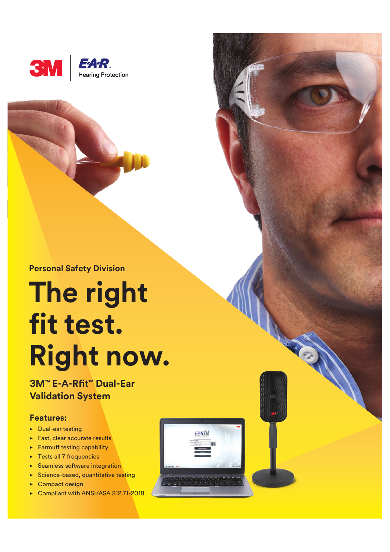



# **The right fit test. Right now.**

**3M™ E-A-Rft™ Dual-Ear Validation System**

#### **Features:**

- $\nu$  Dual-ear testing
- $\blacktriangleright$  Fast, clear accurate results
- $\blacktriangleright$  Earmuff testing capability
- $\blacktriangleright$  Tests all 7 frequencies
- $\blacktriangleright$  Seamless software integration
- $\blacktriangleright$  Science-based, quantitative testing
- $\triangleright$  Compact design
- ► Compliant with ANSI/ASA S12.71-2018

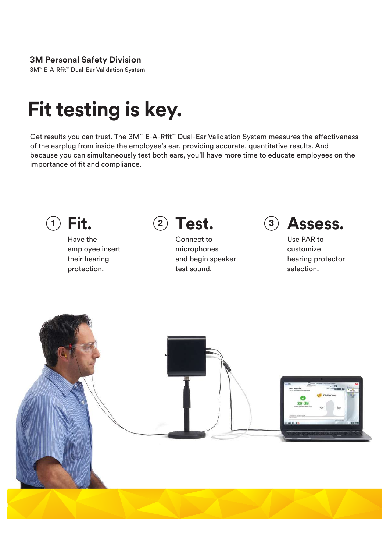### **3M Personal Safety Division**

3M™ E-A-Rft™ Dual-Ear Validation System

## **Fit testing is key.**

Get results you can trust. The 3M™ E-A-Rft™ Dual-Ear Validation System measures the efectiveness of the earplug from inside the employee's ear, providing accurate, quantitative results. And because you can simultaneously test both ears, you'll have more time to educate employees on the importance of fit and compliance.



Have the employee insert their hearing protection.



Connect to microphones and begin speaker test sound.



Use PAR to customize hearing protector selection.

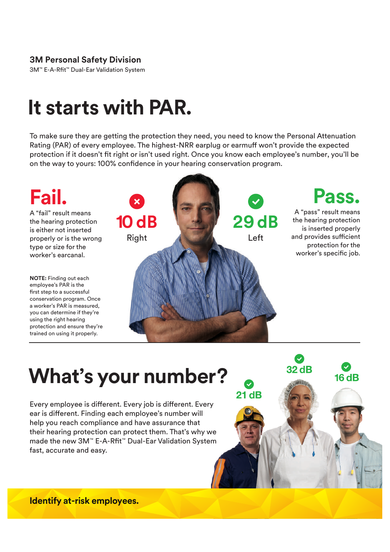### **3M Personal Safety Division**

3M™ E-A-Rft™ Dual-Ear Validation System

### **It starts with PAR.**

To make sure they are getting the protection they need, you need to know the Personal Attenuation Rating (PAR) of every employee. The highest-NRR earplug or earmuf won't provide the expected protection if it doesn't fit right or isn't used right. Once you know each employee's number, you'll be on the way to yours: 100% confdence in your hearing conservation program.



 $32 dB$ 

 $21dB$ 

 $16dB$ 

# **What's your number?**

Every employee is diferent. Every job is diferent. Every ear is diferent. Finding each employee's number will help you reach compliance and have assurance that their hearing protection can protect them. That's why we made the new 3M<sup>™</sup> E-A-Rfit<sup>™</sup> Dual-Ear Validation System fast, accurate and easy.